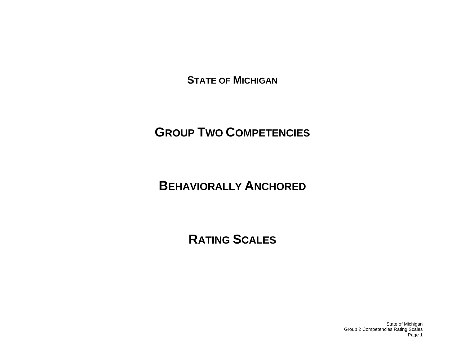**STATE OF MICHIGAN**

# **GROUP TWO COMPETENCIES**

# **BEHAVIORALLY ANCHORED**

# **RATING SCALES**

State of Michigan Group 2 Competencies Rating Scales Page 1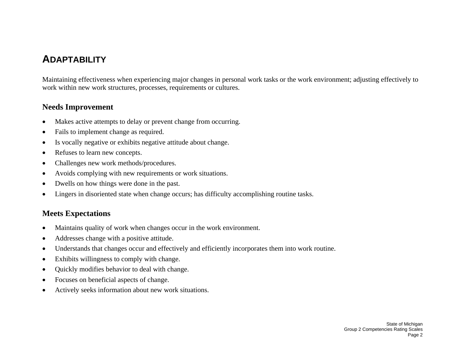## **ADAPTABILITY**

Maintaining effectiveness when experiencing major changes in personal work tasks or the work environment; adjusting effectively to work within new work structures, processes, requirements or cultures.

#### **Needs Improvement**

- •Makes active attempts to delay or prevent change from occurring.
- •Fails to implement change as required.
- •Is vocally negative or exhibits negative attitude about change.
- •Refuses to learn new concepts.
- •Challenges new work methods/procedures.
- •Avoids complying with new requirements or work situations.
- •Dwells on how things were done in the past.
- •Lingers in disoriented state when change occurs; has difficulty accomplishing routine tasks.

#### **Meets Expectations**

- •Maintains quality of work when changes occur in the work environment.
- •Addresses change with a positive attitude.
- $\bullet$ Understands that changes occur and effectively and efficiently incorporates them into work routine.
- •Exhibits willingness to comply with change.
- •Quickly modifies behavior to deal with change.
- •Focuses on beneficial aspects of change.
- •Actively seeks information about new work situations.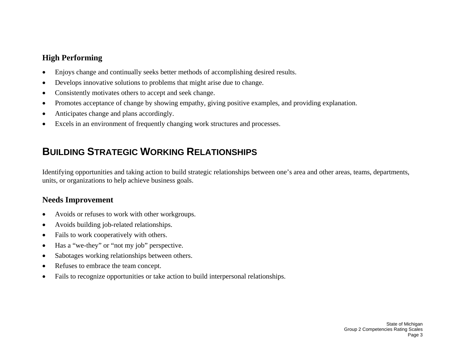- •Enjoys change and continually seeks better methods of accomplishing desired results.
- •Develops innovative solutions to problems that might arise due to change.
- •Consistently motivates others to accept and seek change.
- •Promotes acceptance of change by showing empathy, giving positive examples, and providing explanation.
- •Anticipates change and plans accordingly.
- $\bullet$ Excels in an environment of frequently changing work structures and processes.

# **BUILDING STRATEGIC WORKING RELATIONSHIPS**

Identifying opportunities and taking action to build strategic relationships between one's area and other areas, teams, departments, units, or organizations to help achieve business goals.

- •Avoids or refuses to work with other workgroups.
- •Avoids building job-related relationships.
- •Fails to work cooperatively with others.
- •Has a "we-they" or "not my job" perspective.
- •Sabotages working relationships between others.
- •Refuses to embrace the team concept.
- •Fails to recognize opportunities or take action to build interpersonal relationships.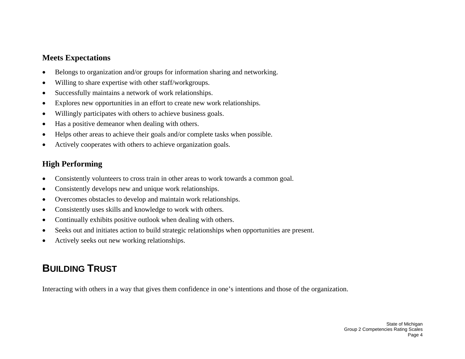- •Belongs to organization and/or groups for information sharing and networking.
- •Willing to share expertise with other staff/workgroups.
- •Successfully maintains a network of work relationships.
- •Explores new opportunities in an effort to create new work relationships.
- •Willingly participates with others to achieve business goals.
- •Has a positive demeanor when dealing with others.
- •Helps other areas to achieve their goals and/or complete tasks when possible.
- •Actively cooperates with others to achieve organization goals.

## **High Performing**

- •Consistently volunteers to cross train in other areas to work towards a common goal.
- •Consistently develops new and unique work relationships.
- •Overcomes obstacles to develop and maintain work relationships.
- •Consistently uses skills and knowledge to work with others.
- •Continually exhibits positive outlook when dealing with others.
- •Seeks out and initiates action to build strategic relationships when opportunities are present.
- •Actively seeks out new working relationships.

# **BUILDING TRUST**

Interacting with others in a way that gives them confidence in one's intentions and those of the organization.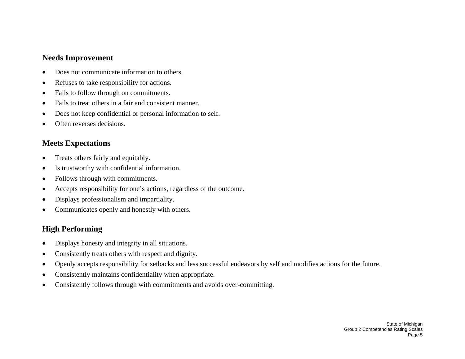#### **Needs Improvement**

- •Does not communicate information to others.
- •Refuses to take responsibility for actions.
- •Fails to follow through on commitments.
- •Fails to treat others in a fair and consistent manner.
- •Does not keep confidential or personal information to self.
- •Often reverses decisions.

## **Meets Expectations**

- •Treats others fairly and equitably.
- •Is trustworthy with confidential information.
- •Follows through with commitments.
- •Accepts responsibility for one's actions, regardless of the outcome.
- •Displays professionalism and impartiality.
- $\bullet$ Communicates openly and honestly with others.

- •Displays honesty and integrity in all situations.
- •Consistently treats others with respect and dignity.
- •Openly accepts responsibility for setbacks and less successful endeavors by self and modifies actions for the future.
- •Consistently maintains confidentiality when appropriate.
- •Consistently follows through with commitments and avoids over-committing.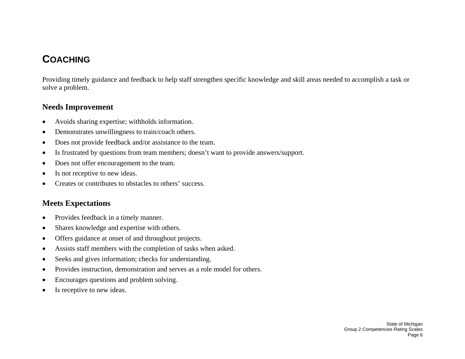## **COACHING**

Providing timely guidance and feedback to help staff strengthen specific knowledge and skill areas needed to accomplish a task or solve a problem.

#### **Needs Improvement**

- •Avoids sharing expertise; withholds information.
- •Demonstrates unwillingness to train/coach others.
- •Does not provide feedback and/or assistance to the team.
- •Is frustrated by questions from team members; doesn't want to provide answers/support.
- •Does not offer encouragement to the team.
- •Is not receptive to new ideas.
- •Creates or contributes to obstacles to others' success.

#### **Meets Expectations**

- •Provides feedback in a timely manner.
- •Shares knowledge and expertise with others.
- •Offers guidance at onset of and throughout projects.
- •Assists staff members with the completion of tasks when asked.
- •Seeks and gives information; checks for understanding.
- •Provides instruction, demonstration and serves as a role model for others.
- •Encourages questions and problem solving.
- •Is receptive to new ideas.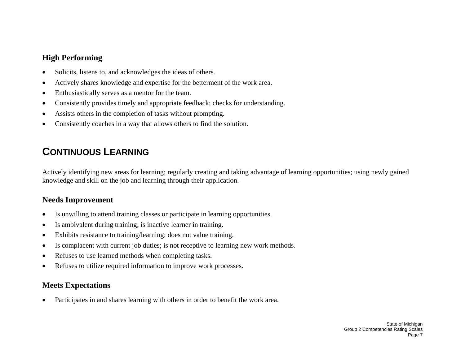- •Solicits, listens to, and acknowledges the ideas of others.
- •Actively shares knowledge and expertise for the betterment of the work area.
- •Enthusiastically serves as a mentor for the team.
- •Consistently provides timely and appropriate feedback; checks for understanding.
- •Assists others in the completion of tasks without prompting.
- •Consistently coaches in a way that allows others to find the solution.

# **CONTINUOUS LEARNING**

Actively identifying new areas for learning; regularly creating and taking advantage of learning opportunities; using newly gained knowledge and skill on the job and learning through their application.

## **Needs Improvement**

- •Is unwilling to attend training classes or participate in learning opportunities.
- •Is ambivalent during training; is inactive learner in training.
- •Exhibits resistance to training/learning; does not value training.
- •Is complacent with current job duties; is not receptive to learning new work methods.
- •Refuses to use learned methods when completing tasks.
- •Refuses to utilize required information to improve work processes.

## **Meets Expectations**

•Participates in and shares learning with others in order to benefit the work area.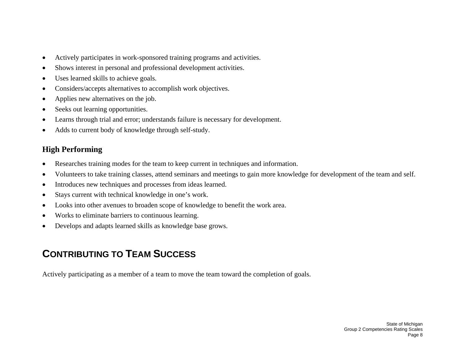- •Actively participates in work-sponsored training programs and activities.
- •Shows interest in personal and professional development activities.
- •Uses learned skills to achieve goals.
- •Considers/accepts alternatives to accomplish work objectives.
- •Applies new alternatives on the job.
- •Seeks out learning opportunities.
- •Learns through trial and error; understands failure is necessary for development.
- •Adds to current body of knowledge through self-study.

- •Researches training modes for the team to keep current in techniques and information.
- •Volunteers to take training classes, attend seminars and meetings to gain more knowledge for development of the team and self.
- •Introduces new techniques and processes from ideas learned.
- •Stays current with technical knowledge in one's work.
- •Looks into other avenues to broaden scope of knowledge to benefit the work area.
- •Works to eliminate barriers to continuous learning.
- •Develops and adapts learned skills as knowledge base grows.

# **CONTRIBUTING TO TEAM SUCCESS**

Actively participating as a member of a team to move the team toward the completion of goals.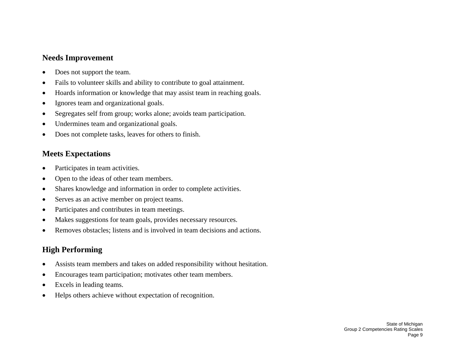### **Needs Improvement**

- •Does not support the team.
- •Fails to volunteer skills and ability to contribute to goal attainment.
- •Hoards information or knowledge that may assist team in reaching goals.
- •Ignores team and organizational goals.
- •Segregates self from group; works alone; avoids team participation.
- •Undermines team and organizational goals.
- •Does not complete tasks, leaves for others to finish.

## **Meets Expectations**

- •Participates in team activities.
- •Open to the ideas of other team members.
- •Shares knowledge and information in order to complete activities.
- •Serves as an active member on project teams.
- •Participates and contributes in team meetings.
- •Makes suggestions for team goals, provides necessary resources.
- •Removes obstacles; listens and is involved in team decisions and actions.

- •Assists team members and takes on added responsibility without hesitation.
- •Encourages team participation; motivates other team members.
- •Excels in leading teams.
- •Helps others achieve without expectation of recognition.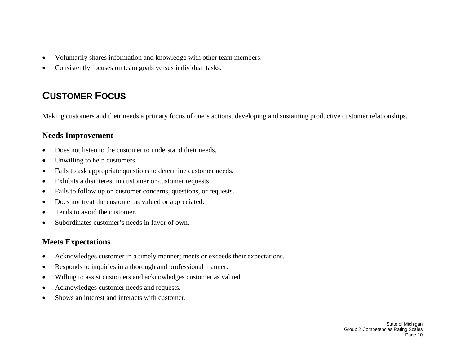- •Voluntarily shares information and knowledge with other team members.
- •Consistently focuses on team goals versus individual tasks.

# **CUSTOMER FOCUS**

Making customers and their needs a primary focus of one's actions; developing and sustaining productive customer relationships.

### **Needs Improvement**

- •Does not listen to the customer to understand their needs.
- •Unwilling to help customers.
- •Fails to ask appropriate questions to determine customer needs.
- •Exhibits a disinterest in customer or customer requests.
- •Fails to follow up on customer concerns, questions, or requests.
- •Does not treat the customer as valued or appreciated.
- •Tends to avoid the customer.
- •Subordinates customer's needs in favor of own.

## **Meets Expectations**

- •Acknowledges customer in a timely manner; meets or exceeds their expectations.
- •Responds to inquiries in a thorough and professional manner.
- •Willing to assist customers and acknowledges customer as valued.
- •Acknowledges customer needs and requests.
- •Shows an interest and interacts with customer.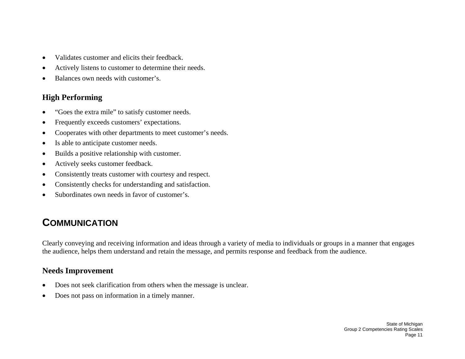- •Validates customer and elicits their feedback.
- •Actively listens to customer to determine their needs.
- •Balances own needs with customer's.

- •"Goes the extra mile" to satisfy customer needs.
- •Frequently exceeds customers' expectations.
- •Cooperates with other departments to meet customer's needs.
- •Is able to anticipate customer needs.
- •Builds a positive relationship with customer.
- •Actively seeks customer feedback.
- •Consistently treats customer with courtesy and respect.
- •Consistently checks for understanding and satisfaction.
- •Subordinates own needs in favor of customer's.

# **COMMUNICATION**

Clearly conveying and receiving information and ideas through a variety of media to individuals or groups in a manner that engages the audience, helps them understand and retain the message, and permits response and feedback from the audience.

- •Does not seek clarification from others when the message is unclear.
- •Does not pass on information in a timely manner.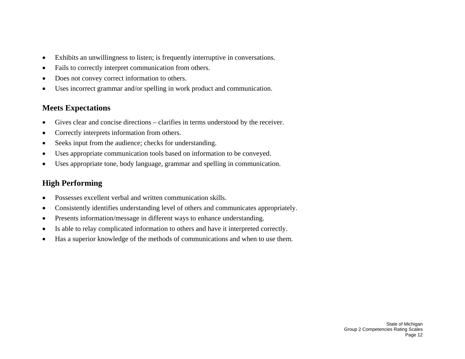- •Exhibits an unwillingness to listen; is frequently interruptive in conversations.
- •Fails to correctly interpret communication from others.
- •Does not convey correct information to others.
- •Uses incorrect grammar and/or spelling in work product and communication.

- $\bullet$ Gives clear and concise directions – clarifies in terms understood by the receiver.
- •Correctly interprets information from others.
- •Seeks input from the audience; checks for understanding.
- •Uses appropriate communication tools based on information to be conveyed.
- •Uses appropriate tone, body language, grammar and spelling in communication.

- •Possesses excellent verbal and written communication skills.
- •Consistently identifies understanding level of others and communicates appropriately.
- •Presents information/message in different ways to enhance understanding.
- •Is able to relay complicated information to others and have it interpreted correctly.
- •Has a superior knowledge of the methods of communications and when to use them.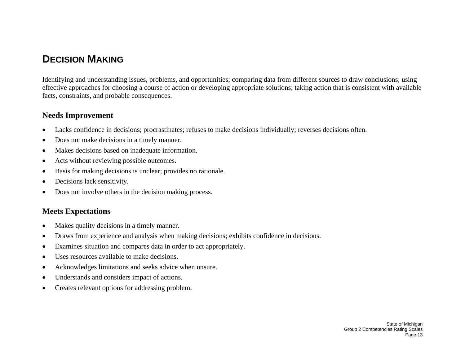## **DECISION MAKING**

Identifying and understanding issues, problems, and opportunities; comparing data from different sources to draw conclusions; using effective approaches for choosing a course of action or developing appropriate solutions; taking action that is consistent with available facts, constraints, and probable consequences.

#### **Needs Improvement**

- •Lacks confidence in decisions; procrastinates; refuses to make decisions individually; reverses decisions often.
- •Does not make decisions in a timely manner.
- •Makes decisions based on inadequate information.
- •Acts without reviewing possible outcomes.
- •Basis for making decisions is unclear; provides no rationale.
- •Decisions lack sensitivity.
- •Does not involve others in the decision making process.

#### **Meets Expectations**

- •Makes quality decisions in a timely manner.
- •Draws from experience and analysis when making decisions; exhibits confidence in decisions.
- •Examines situation and compares data in order to act appropriately.
- •Uses resources available to make decisions.
- •Acknowledges limitations and seeks advice when unsure.
- •Understands and considers impact of actions.
- •Creates relevant options for addressing problem.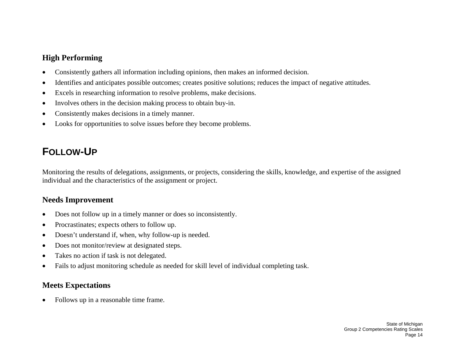- •Consistently gathers all information including opinions, then makes an informed decision.
- •Identifies and anticipates possible outcomes; creates positive solutions; reduces the impact of negative attitudes.
- •Excels in researching information to resolve problems, make decisions.
- •Involves others in the decision making process to obtain buy-in.
- •Consistently makes decisions in a timely manner.
- •Looks for opportunities to solve issues before they become problems.

# **FOLLOW-UP**

Monitoring the results of delegations, assignments, or projects, considering the skills, knowledge, and expertise of the assigned individual and the characteristics of the assignment or project.

### **Needs Improvement**

- $\bullet$ Does not follow up in a timely manner or does so inconsistently.
- •Procrastinates; expects others to follow up.
- •Doesn't understand if, when, why follow-up is needed.
- •Does not monitor/review at designated steps.
- •Takes no action if task is not delegated.
- •Fails to adjust monitoring schedule as needed for skill level of individual completing task.

## **Meets Expectations**

•Follows up in a reasonable time frame.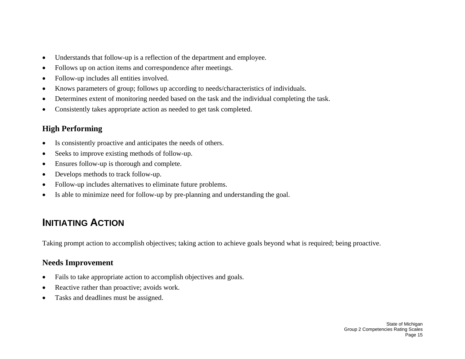- •Understands that follow-up is a reflection of the department and employee.
- •Follows up on action items and correspondence after meetings.
- •Follow-up includes all entities involved.
- •Knows parameters of group; follows up according to needs/characteristics of individuals.
- •Determines extent of monitoring needed based on the task and the individual completing the task.
- $\bullet$ Consistently takes appropriate action as needed to get task completed.

- •Is consistently proactive and anticipates the needs of others.
- •Seeks to improve existing methods of follow-up.
- •Ensures follow-up is thorough and complete.
- •Develops methods to track follow-up.
- •Follow-up includes alternatives to eliminate future problems.
- •Is able to minimize need for follow-up by pre-planning and understanding the goal.

# **INITIATING ACTION**

Taking prompt action to accomplish objectives; taking action to achieve goals beyond what is required; being proactive.

- •Fails to take appropriate action to accomplish objectives and goals.
- •Reactive rather than proactive; avoids work.
- •Tasks and deadlines must be assigned.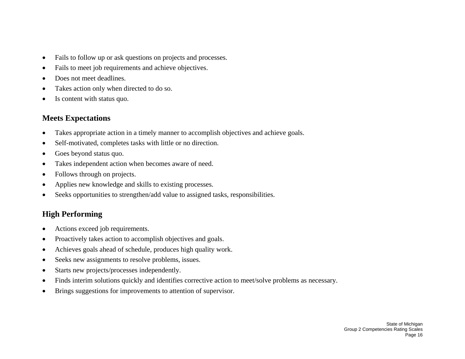- $\bullet$ Fails to follow up or ask questions on projects and processes.
- •Fails to meet job requirements and achieve objectives.
- •Does not meet deadlines.
- •Takes action only when directed to do so.
- •Is content with status quo.

- $\bullet$ Takes appropriate action in a timely manner to accomplish objectives and achieve goals.
- •Self-motivated, completes tasks with little or no direction.
- •Goes beyond status quo.
- •Takes independent action when becomes aware of need.
- •Follows through on projects.
- •Applies new knowledge and skills to existing processes.
- •Seeks opportunities to strengthen/add value to assigned tasks, responsibilities.

- •Actions exceed job requirements.
- •Proactively takes action to accomplish objectives and goals.
- •Achieves goals ahead of schedule, produces high quality work.
- •Seeks new assignments to resolve problems, issues.
- •Starts new projects/processes independently.
- •Finds interim solutions quickly and identifies corrective action to meet/solve problems as necessary.
- $\bullet$ Brings suggestions for improvements to attention of supervisor.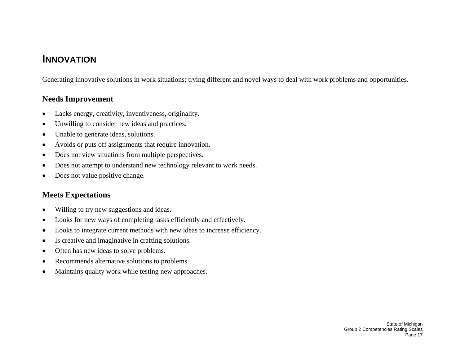## **INNOVATION**

Generating innovative solutions in work situations; trying different and novel ways to deal with work problems and opportunities.

#### **Needs Improvement**

- •Lacks energy, creativity, inventiveness, originality.
- •Unwilling to consider new ideas and practices.
- •Unable to generate ideas, solutions.
- •Avoids or puts off assignments that require innovation.
- •Does not view situations from multiple perspectives.
- •Does not attempt to understand new technology relevant to work needs.
- $\bullet$ Does not value positive change.

## **Meets Expectations**

- $\bullet$ Willing to try new suggestions and ideas.
- •Looks for new ways of completing tasks efficiently and effectively.
- •Looks to integrate current methods with new ideas to increase efficiency.
- •Is creative and imaginative in crafting solutions.
- •Often has new ideas to solve problems.
- •Recommends alternative solutions to problems.
- •Maintains quality work while testing new approaches.

State of Michigan Group 2 Competencies Rating Scales Page 17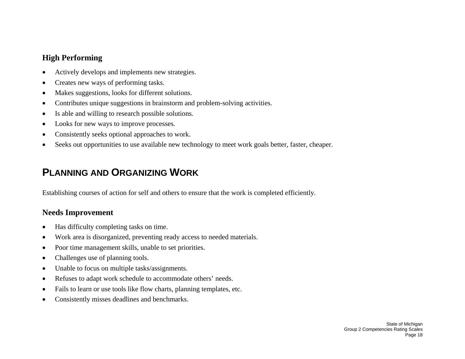- •Actively develops and implements new strategies.
- •Creates new ways of performing tasks.
- •Makes suggestions, looks for different solutions.
- •Contributes unique suggestions in brainstorm and problem-solving activities.
- •Is able and willing to research possible solutions.
- •Looks for new ways to improve processes.
- •Consistently seeks optional approaches to work.
- •Seeks out opportunities to use available new technology to meet work goals better, faster, cheaper.

# **PLANNING AND ORGANIZING WORK**

Establishing courses of action for self and others to ensure that the work is completed efficiently.

- •Has difficulty completing tasks on time.
- •Work area is disorganized, preventing ready access to needed materials.
- •Poor time management skills, unable to set priorities.
- •Challenges use of planning tools.
- •Unable to focus on multiple tasks/assignments.
- •Refuses to adapt work schedule to accommodate others' needs.
- •Fails to learn or use tools like flow charts, planning templates, etc.
- •Consistently misses deadlines and benchmarks.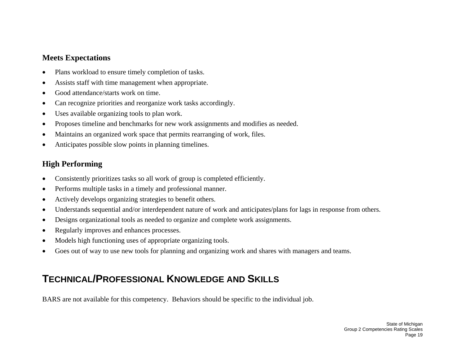- •Plans workload to ensure timely completion of tasks.
- •Assists staff with time management when appropriate.
- •Good attendance/starts work on time.
- •Can recognize priorities and reorganize work tasks accordingly.
- •Uses available organizing tools to plan work.
- •Proposes timeline and benchmarks for new work assignments and modifies as needed.
- •Maintains an organized work space that permits rearranging of work, files.
- •Anticipates possible slow points in planning timelines.

## **High Performing**

- •Consistently prioritizes tasks so all work of group is completed efficiently.
- •Performs multiple tasks in a timely and professional manner.
- •Actively develops organizing strategies to benefit others.
- •Understands sequential and/or interdependent nature of work and anticipates/plans for lags in response from others.
- •Designs organizational tools as needed to organize and complete work assignments.
- •Regularly improves and enhances processes.
- •Models high functioning uses of appropriate organizing tools.
- •Goes out of way to use new tools for planning and organizing work and shares with managers and teams.

# **TECHNICAL/PROFESSIONAL KNOWLEDGE AND SKILLS**

BARS are not available for this competency. Behaviors should be specific to the individual job.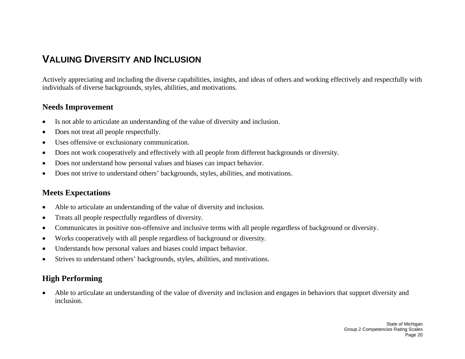## **VALUING DIVERSITY AND INCLUSION**

Actively appreciating and including the diverse capabilities, insights, and ideas of others and working effectively and respectfully with individuals of diverse backgrounds, styles, abilities, and motivations.

#### **Needs Improvement**

- •Is not able to articulate an understanding of the value of diversity and inclusion.
- •Does not treat all people respectfully.
- •Uses offensive or exclusionary communication.
- •Does not work cooperatively and effectively with all people from different backgrounds or diversity.
- •Does not understand how personal values and biases can impact behavior.
- $\bullet$ Does not strive to understand others' backgrounds, styles, abilities, and motivations.

### **Meets Expectations**

- •Able to articulate an understanding of the value of diversity and inclusion.
- •Treats all people respectfully regardless of diversity.
- •Communicates in positive non-offensive and inclusive terms with all people regardless of background or diversity.
- •Works cooperatively with all people regardless of background or diversity.
- •Understands how personal values and biases could impact behavior.
- •Strives to understand others' backgrounds, styles, abilities, and motivations.

## **High Performing**

• Able to articulate an understanding of the value of diversity and inclusion and engages in behaviors that support diversity and inclusion.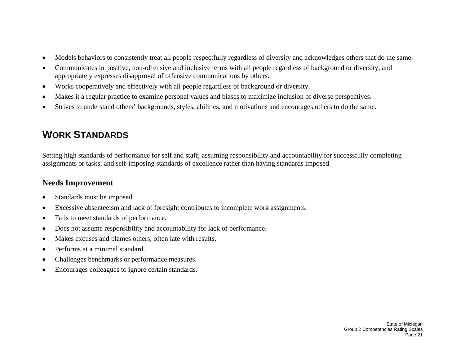- •Models behaviors to consistently treat all people respectfully regardless of diversity and acknowledges others that do the same.
- • Communicates in positive, non-offensive and inclusive terms with all people regardless of background or diversity, and appropriately expresses disapproval of offensive communications by others.
- •Works cooperatively and effectively with all people regardless of background or diversity.
- •Makes it a regular practice to examine personal values and biases to maximize inclusion of diverse perspectives.
- •Strives to understand others' backgrounds, styles, abilities, and motivations and encourages others to do the same.

# **WORK STANDARDS**

Setting high standards of performance for self and staff; assuming responsibility and accountability for successfully completing assignments or tasks; and self-imposing standards of excellence rather than having standards imposed.

- •Standards must be imposed.
- •Excessive absenteeism and lack of foresight contributes to incomplete work assignments.
- •Fails to meet standards of performance.
- •Does not assume responsibility and accountability for lack of performance.
- •Makes excuses and blames others, often late with results.
- •Performs at a minimal standard.
- •Challenges benchmarks or performance measures.
- •Encourages colleagues to ignore certain standards.